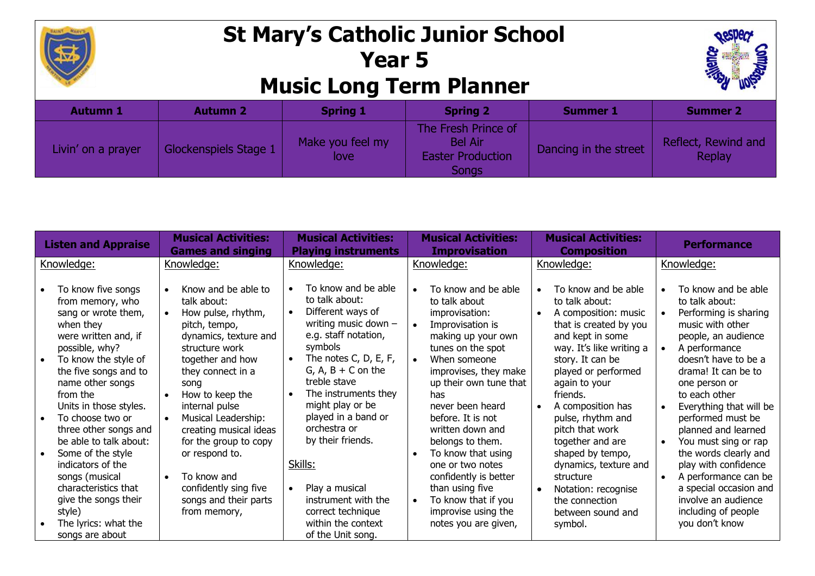

## **St Mary's Catholic Junior School Year 5 Music Long Term Planner**



| <b>Autumn 1</b>    | <b>Autumn 2</b>       | <b>Spring 1</b>          | <b>Spring 2</b>                                                            | <b>Summer 1</b>       | <b>Summer 2</b>               |
|--------------------|-----------------------|--------------------------|----------------------------------------------------------------------------|-----------------------|-------------------------------|
| Livin' on a prayer | Glockenspiels Stage 1 | Make you feel my<br>love | The Fresh Prince of<br><b>Bel Air</b><br><b>Easter Production</b><br>Songs | Dancing in the street | Reflect, Rewind and<br>Replay |

| <b>Listen and Appraise</b>                                                                                                                                                                                                                                                                                                                                                                                                                   | <b>Musical Activities:</b><br><b>Games and singing</b>                                                                                                                                                                                                                                                                                                                  | <b>Musical Activities:</b><br><b>Playing instruments</b>                                                                                                                                                                                                                                                                                                                                                              | <b>Musical Activities:</b><br><b>Improvisation</b>                                                                                                                                                                                                                                                                                                                                                         | <b>Musical Activities:</b><br><b>Composition</b>                                                                                                                                                                                                                                                                                                                                                                                                        | <b>Performance</b>                                                                                                                                                                                                                                                                                                                                                                                                                   |
|----------------------------------------------------------------------------------------------------------------------------------------------------------------------------------------------------------------------------------------------------------------------------------------------------------------------------------------------------------------------------------------------------------------------------------------------|-------------------------------------------------------------------------------------------------------------------------------------------------------------------------------------------------------------------------------------------------------------------------------------------------------------------------------------------------------------------------|-----------------------------------------------------------------------------------------------------------------------------------------------------------------------------------------------------------------------------------------------------------------------------------------------------------------------------------------------------------------------------------------------------------------------|------------------------------------------------------------------------------------------------------------------------------------------------------------------------------------------------------------------------------------------------------------------------------------------------------------------------------------------------------------------------------------------------------------|---------------------------------------------------------------------------------------------------------------------------------------------------------------------------------------------------------------------------------------------------------------------------------------------------------------------------------------------------------------------------------------------------------------------------------------------------------|--------------------------------------------------------------------------------------------------------------------------------------------------------------------------------------------------------------------------------------------------------------------------------------------------------------------------------------------------------------------------------------------------------------------------------------|
| Knowledge:                                                                                                                                                                                                                                                                                                                                                                                                                                   | Knowledge:                                                                                                                                                                                                                                                                                                                                                              | Knowledge:                                                                                                                                                                                                                                                                                                                                                                                                            | Knowledge:                                                                                                                                                                                                                                                                                                                                                                                                 | Knowledge:                                                                                                                                                                                                                                                                                                                                                                                                                                              | Knowledge:                                                                                                                                                                                                                                                                                                                                                                                                                           |
| To know five songs<br>from memory, who<br>sang or wrote them,<br>when they<br>were written and, if<br>possible, why?<br>To know the style of<br>$\bullet$<br>the five songs and to<br>name other songs<br>from the<br>Units in those styles.<br>To choose two or<br>$\bullet$<br>three other songs and<br>be able to talk about:<br>Some of the style<br>indicators of the<br>songs (musical<br>characteristics that<br>give the songs their | Know and be able to<br>talk about:<br>How pulse, rhythm,<br>pitch, tempo,<br>dynamics, texture and<br>structure work<br>together and how<br>they connect in a<br>song<br>How to keep the<br>internal pulse<br>Musical Leadership:<br>creating musical ideas<br>for the group to copy<br>or respond to.<br>To know and<br>confidently sing five<br>songs and their parts | To know and be able<br>$\bullet$<br>to talk about:<br>Different ways of<br>$\bullet$<br>writing music down $-$<br>e.g. staff notation,<br>symbols<br>The notes C, D, E, F,<br>$\bullet$<br>$G, A, B + C$ on the<br>treble stave<br>The instruments they<br>$\bullet$<br>might play or be<br>played in a band or<br>orchestra or<br>by their friends.<br>Skills:<br>Play a musical<br>$\bullet$<br>instrument with the | To know and be able<br>to talk about<br>improvisation:<br>Improvisation is<br>making up your own<br>tunes on the spot<br>When someone<br>$\bullet$<br>improvises, they make<br>up their own tune that<br>has<br>never been heard<br>before. It is not<br>written down and<br>belongs to them.<br>To know that using<br>one or two notes<br>confidently is better<br>than using five<br>To know that if you | To know and be able<br>$\bullet$<br>to talk about:<br>A composition: music<br>$\bullet$<br>that is created by you<br>and kept in some<br>way. It's like writing a<br>story. It can be<br>played or performed<br>again to your<br>friends.<br>A composition has<br>$\bullet$<br>pulse, rhythm and<br>pitch that work<br>together and are<br>shaped by tempo,<br>dynamics, texture and<br>structure<br>Notation: recognise<br>$\bullet$<br>the connection | To know and be able<br>to talk about:<br>Performing is sharing<br>music with other<br>people, an audience<br>A performance<br>doesn't have to be a<br>drama! It can be to<br>one person or<br>to each other<br>Everything that will be<br>performed must be<br>planned and learned<br>You must sing or rap<br>the words clearly and<br>play with confidence<br>A performance can be<br>a special occasion and<br>involve an audience |
| style)<br>The lyrics: what the<br>songs are about                                                                                                                                                                                                                                                                                                                                                                                            | from memory,                                                                                                                                                                                                                                                                                                                                                            | correct technique<br>within the context<br>of the Unit song.                                                                                                                                                                                                                                                                                                                                                          | improvise using the<br>notes you are given,                                                                                                                                                                                                                                                                                                                                                                | between sound and<br>symbol.                                                                                                                                                                                                                                                                                                                                                                                                                            | including of people<br>you don't know                                                                                                                                                                                                                                                                                                                                                                                                |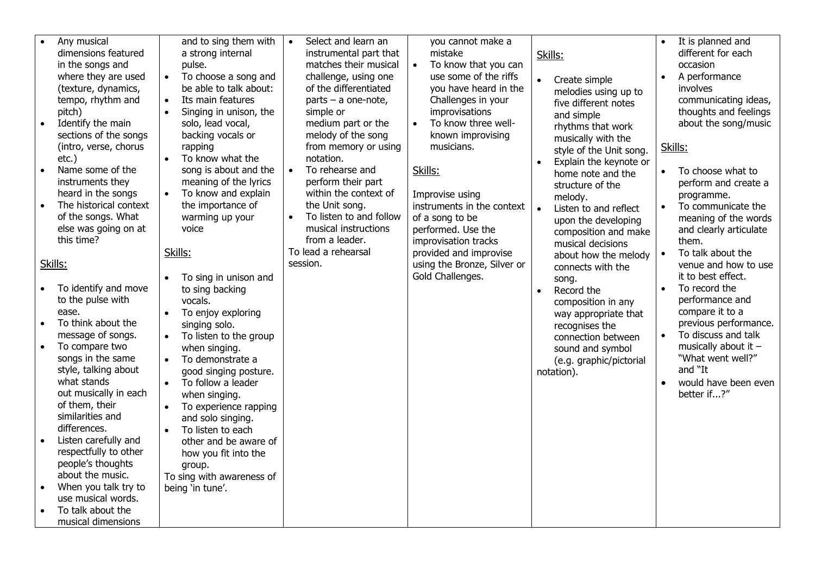| Any musical<br>dimensions featured<br>in the songs and<br>where they are used<br>(texture, dynamics,<br>tempo, rhythm and<br>pitch)<br>Identify the main<br>sections of the songs<br>(intro, verse, chorus<br>$etc.$ )<br>Name some of the<br>$\bullet$<br>instruments they<br>heard in the songs<br>The historical context<br>$\bullet$<br>of the songs. What<br>else was going on at<br>this time?                                                                    | and to sing them with<br>a strong internal<br>pulse.<br>To choose a song and<br>be able to talk about:<br>Its main features<br>$\bullet$<br>Singing in unison, the<br>solo, lead vocal,<br>backing vocals or<br>rapping<br>To know what the<br>$\bullet$<br>song is about and the<br>meaning of the lyrics<br>To know and explain<br>the importance of<br>warming up your<br>voice<br>Skills:                                      | Select and learn an<br>$\bullet$<br>instrumental part that<br>matches their musical<br>challenge, using one<br>of the differentiated<br>parts $-$ a one-note,<br>simple or<br>medium part or the<br>melody of the song<br>from memory or using<br>notation.<br>To rehearse and<br>$\bullet$<br>perform their part<br>within the context of<br>the Unit song.<br>To listen to and follow<br>musical instructions<br>from a leader.<br>To lead a rehearsal<br>session. | you cannot make a<br>mistake<br>To know that you can<br>$\bullet$<br>use some of the riffs<br>you have heard in the<br>Challenges in your<br>improvisations<br>To know three well-<br>$\bullet$<br>known improvising<br>musicians.<br>Skills:<br>Improvise using<br>instruments in the context<br>of a song to be<br>performed. Use the<br>improvisation tracks<br>provided and improvise | Skills:<br>$\bullet$<br>Create simple<br>melodies using up to<br>five different notes<br>and simple<br>rhythms that work<br>musically with the<br>style of the Unit song.<br>Explain the keynote or<br>$\bullet$<br>home note and the<br>structure of the<br>melody.<br>Listen to and reflect<br>$\bullet$<br>upon the developing<br>composition and make<br>musical decisions<br>about how the melody | It is planned and<br>different for each<br>occasion<br>A performance<br>involves<br>communicating ideas,<br>thoughts and feelings<br>about the song/music<br>Skills:<br>To choose what to<br>$\bullet$<br>perform and create a<br>programme.<br>To communicate the<br>$\bullet$<br>meaning of the words<br>and clearly articulate<br>them.<br>To talk about the |
|-------------------------------------------------------------------------------------------------------------------------------------------------------------------------------------------------------------------------------------------------------------------------------------------------------------------------------------------------------------------------------------------------------------------------------------------------------------------------|------------------------------------------------------------------------------------------------------------------------------------------------------------------------------------------------------------------------------------------------------------------------------------------------------------------------------------------------------------------------------------------------------------------------------------|----------------------------------------------------------------------------------------------------------------------------------------------------------------------------------------------------------------------------------------------------------------------------------------------------------------------------------------------------------------------------------------------------------------------------------------------------------------------|-------------------------------------------------------------------------------------------------------------------------------------------------------------------------------------------------------------------------------------------------------------------------------------------------------------------------------------------------------------------------------------------|--------------------------------------------------------------------------------------------------------------------------------------------------------------------------------------------------------------------------------------------------------------------------------------------------------------------------------------------------------------------------------------------------------|-----------------------------------------------------------------------------------------------------------------------------------------------------------------------------------------------------------------------------------------------------------------------------------------------------------------------------------------------------------------|
| Skills:                                                                                                                                                                                                                                                                                                                                                                                                                                                                 |                                                                                                                                                                                                                                                                                                                                                                                                                                    |                                                                                                                                                                                                                                                                                                                                                                                                                                                                      | using the Bronze, Silver or                                                                                                                                                                                                                                                                                                                                                               | connects with the                                                                                                                                                                                                                                                                                                                                                                                      | venue and how to use                                                                                                                                                                                                                                                                                                                                            |
| To identify and move<br>to the pulse with<br>ease.<br>To think about the<br>message of songs.<br>To compare two<br>$\bullet$<br>songs in the same<br>style, talking about<br>what stands<br>out musically in each<br>of them, their<br>similarities and<br>differences.<br>Listen carefully and<br>$\bullet$<br>respectfully to other<br>people's thoughts<br>about the music.<br>When you talk try to<br>use musical words.<br>To talk about the<br>musical dimensions | To sing in unison and<br>to sing backing<br>vocals.<br>To enjoy exploring<br>singing solo.<br>To listen to the group<br>when singing.<br>To demonstrate a<br>$\bullet$<br>good singing posture.<br>To follow a leader<br>when singing.<br>To experience rapping<br>and solo singing.<br>To listen to each<br>$\bullet$<br>other and be aware of<br>how you fit into the<br>group.<br>To sing with awareness of<br>being 'in tune'. |                                                                                                                                                                                                                                                                                                                                                                                                                                                                      | Gold Challenges.                                                                                                                                                                                                                                                                                                                                                                          | song.<br>Record the<br>$\bullet$<br>composition in any<br>way appropriate that<br>recognises the<br>connection between<br>sound and symbol<br>(e.g. graphic/pictorial<br>notation).                                                                                                                                                                                                                    | it to best effect.<br>To record the<br>performance and<br>compare it to a<br>previous performance.<br>To discuss and talk<br>musically about it $-$<br>"What went well?"<br>and "It<br>would have been even<br>better if?"                                                                                                                                      |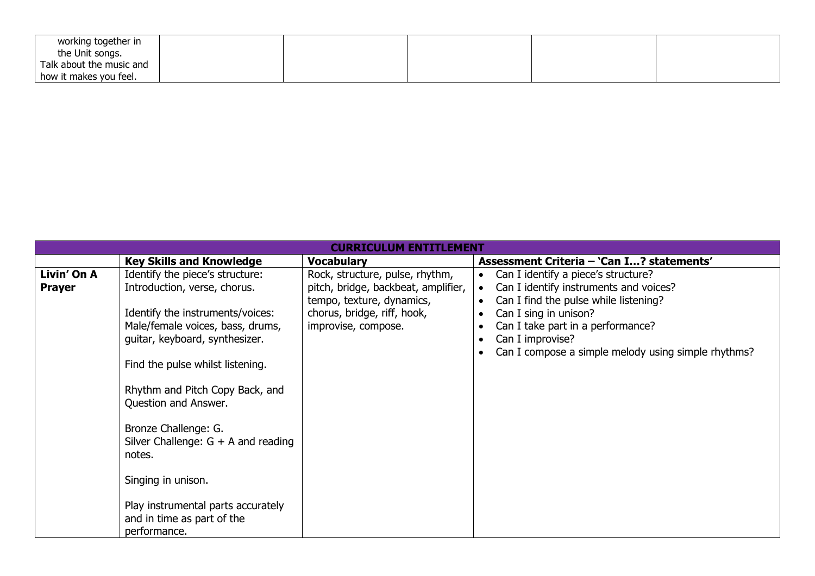| working together in      |  |  |  |
|--------------------------|--|--|--|
| the Unit songs.          |  |  |  |
| Talk about the music and |  |  |  |
| how it makes you feel.   |  |  |  |

| <b>CURRICULUM ENTITLEMENT</b>                                                                                                                                                              |                                                                                                                                                                                                                                                                                                 |                                                                                                                                                           |                                                                                                                                                                                                                                                                                           |  |
|--------------------------------------------------------------------------------------------------------------------------------------------------------------------------------------------|-------------------------------------------------------------------------------------------------------------------------------------------------------------------------------------------------------------------------------------------------------------------------------------------------|-----------------------------------------------------------------------------------------------------------------------------------------------------------|-------------------------------------------------------------------------------------------------------------------------------------------------------------------------------------------------------------------------------------------------------------------------------------------|--|
|                                                                                                                                                                                            | <b>Key Skills and Knowledge</b>                                                                                                                                                                                                                                                                 | <b>Vocabulary</b>                                                                                                                                         | Assessment Criteria - 'Can I? statements'                                                                                                                                                                                                                                                 |  |
| Livin' On A<br>Introduction, verse, chorus.<br><b>Prayer</b><br>Question and Answer.<br>Bronze Challenge: G.<br>notes.<br>Singing in unison.<br>and in time as part of the<br>performance. | Identify the piece's structure:<br>Identify the instruments/voices:<br>Male/female voices, bass, drums,<br>guitar, keyboard, synthesizer.<br>Find the pulse whilst listening.<br>Rhythm and Pitch Copy Back, and<br>Silver Challenge: $G + A$ and reading<br>Play instrumental parts accurately | Rock, structure, pulse, rhythm,<br>pitch, bridge, backbeat, amplifier,<br>tempo, texture, dynamics,<br>chorus, bridge, riff, hook,<br>improvise, compose. | Can I identify a piece's structure?<br>$\bullet$<br>Can I identify instruments and voices?<br>$\bullet$<br>Can I find the pulse while listening?<br>Can I sing in unison?<br>Can I take part in a performance?<br>Can I improvise?<br>Can I compose a simple melody using simple rhythms? |  |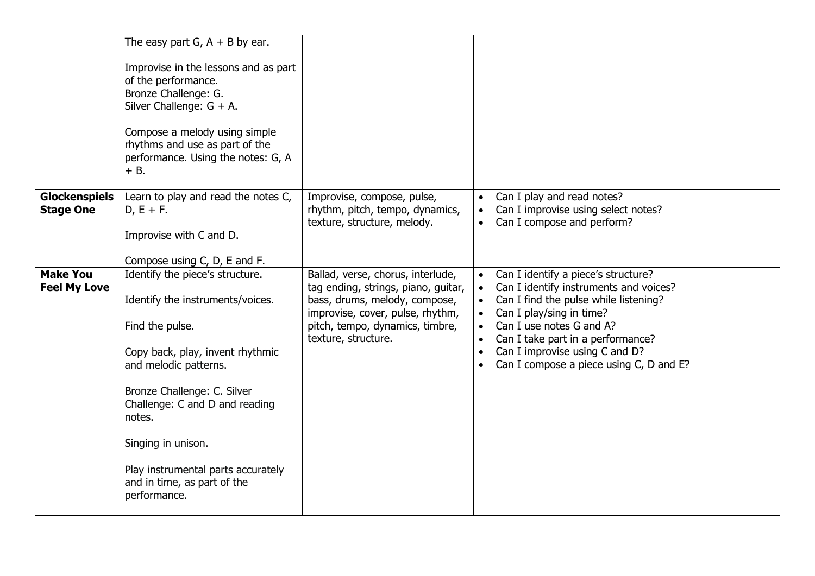|                                          | The easy part G, $A + B$ by ear.<br>Improvise in the lessons and as part<br>of the performance.<br>Bronze Challenge: G.<br>Silver Challenge: $G + A$ .<br>Compose a melody using simple<br>rhythms and use as part of the<br>performance. Using the notes: G, A<br>$+ B.$                                                                 |                                                                                                                                                                                                         |                                                                                                                                                                                                                                                                                                                                                                   |
|------------------------------------------|-------------------------------------------------------------------------------------------------------------------------------------------------------------------------------------------------------------------------------------------------------------------------------------------------------------------------------------------|---------------------------------------------------------------------------------------------------------------------------------------------------------------------------------------------------------|-------------------------------------------------------------------------------------------------------------------------------------------------------------------------------------------------------------------------------------------------------------------------------------------------------------------------------------------------------------------|
| <b>Glockenspiels</b><br><b>Stage One</b> | Learn to play and read the notes C,<br>$D, E + F.$<br>Improvise with C and D.<br>Compose using C, D, E and F.                                                                                                                                                                                                                             | Improvise, compose, pulse,<br>rhythm, pitch, tempo, dynamics,<br>texture, structure, melody.                                                                                                            | • Can I play and read notes?<br>Can I improvise using select notes?<br>Can I compose and perform?                                                                                                                                                                                                                                                                 |
| <b>Make You</b><br><b>Feel My Love</b>   | Identify the piece's structure.<br>Identify the instruments/voices.<br>Find the pulse.<br>Copy back, play, invent rhythmic<br>and melodic patterns.<br>Bronze Challenge: C. Silver<br>Challenge: C and D and reading<br>notes.<br>Singing in unison.<br>Play instrumental parts accurately<br>and in time, as part of the<br>performance. | Ballad, verse, chorus, interlude,<br>tag ending, strings, piano, guitar,<br>bass, drums, melody, compose,<br>improvise, cover, pulse, rhythm,<br>pitch, tempo, dynamics, timbre,<br>texture, structure. | Can I identify a piece's structure?<br>Can I identify instruments and voices?<br>Can I find the pulse while listening?<br>$\bullet$<br>Can I play/sing in time?<br>$\bullet$<br>Can I use notes G and A?<br>$\bullet$<br>Can I take part in a performance?<br>$\bullet$<br>Can I improvise using C and D?<br>$\bullet$<br>Can I compose a piece using C, D and E? |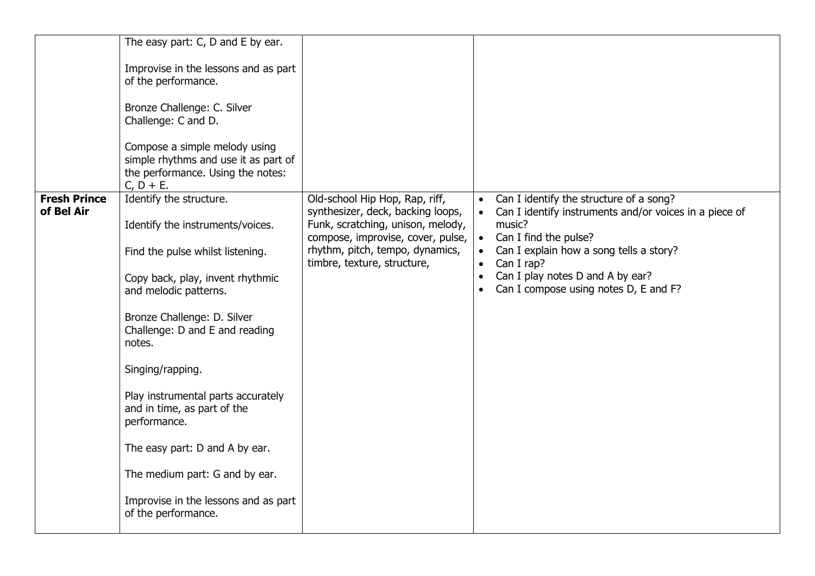|                                   | The easy part: C, D and E by ear.<br>Improvise in the lessons and as part<br>of the performance.<br>Bronze Challenge: C. Silver<br>Challenge: C and D.<br>Compose a simple melody using<br>simple rhythms and use it as part of<br>the performance. Using the notes:<br>$C, D + E.$                                                                                                                                                                                                 |                                                                                                                                                                                                                 |                                                                                                                                                                                                                                                                                                      |
|-----------------------------------|-------------------------------------------------------------------------------------------------------------------------------------------------------------------------------------------------------------------------------------------------------------------------------------------------------------------------------------------------------------------------------------------------------------------------------------------------------------------------------------|-----------------------------------------------------------------------------------------------------------------------------------------------------------------------------------------------------------------|------------------------------------------------------------------------------------------------------------------------------------------------------------------------------------------------------------------------------------------------------------------------------------------------------|
| <b>Fresh Prince</b><br>of Bel Air | Identify the structure.<br>Identify the instruments/voices.<br>Find the pulse whilst listening.<br>Copy back, play, invent rhythmic<br>and melodic patterns.<br>Bronze Challenge: D. Silver<br>Challenge: D and E and reading<br>notes.<br>Singing/rapping.<br>Play instrumental parts accurately<br>and in time, as part of the<br>performance.<br>The easy part: D and A by ear.<br>The medium part: G and by ear.<br>Improvise in the lessons and as part<br>of the performance. | Old-school Hip Hop, Rap, riff,<br>synthesizer, deck, backing loops,<br>Funk, scratching, unison, melody,<br>compose, improvise, cover, pulse,<br>rhythm, pitch, tempo, dynamics,<br>timbre, texture, structure, | Can I identify the structure of a song?<br>Can I identify instruments and/or voices in a piece of<br>music?<br>Can I find the pulse?<br>$\bullet$<br>Can I explain how a song tells a story?<br>Can I rap?<br>$\bullet$<br>Can I play notes D and A by ear?<br>Can I compose using notes D, E and F? |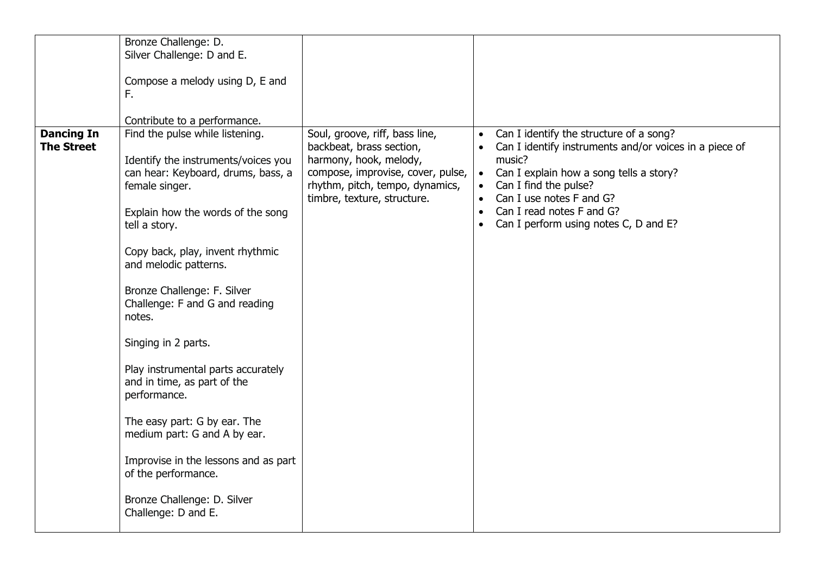|                                        | Bronze Challenge: D.                                        |                                                            |           |                                                                                                   |
|----------------------------------------|-------------------------------------------------------------|------------------------------------------------------------|-----------|---------------------------------------------------------------------------------------------------|
|                                        | Silver Challenge: D and E.                                  |                                                            |           |                                                                                                   |
|                                        |                                                             |                                                            |           |                                                                                                   |
|                                        | Compose a melody using D, E and                             |                                                            |           |                                                                                                   |
|                                        | F.                                                          |                                                            |           |                                                                                                   |
|                                        |                                                             |                                                            |           |                                                                                                   |
|                                        | Contribute to a performance.                                |                                                            |           |                                                                                                   |
| <b>Dancing In</b><br><b>The Street</b> | Find the pulse while listening.                             | Soul, groove, riff, bass line,<br>backbeat, brass section, |           | Can I identify the structure of a song?<br>Can I identify instruments and/or voices in a piece of |
|                                        | Identify the instruments/voices you                         | harmony, hook, melody,                                     |           | music?                                                                                            |
|                                        | can hear: Keyboard, drums, bass, a                          | compose, improvise, cover, pulse,                          | $\bullet$ | Can I explain how a song tells a story?                                                           |
|                                        | female singer.                                              | rhythm, pitch, tempo, dynamics,                            | $\bullet$ | Can I find the pulse?                                                                             |
|                                        |                                                             | timbre, texture, structure.                                |           | Can I use notes F and G?                                                                          |
|                                        | Explain how the words of the song                           |                                                            | $\bullet$ | Can I read notes F and G?                                                                         |
|                                        | tell a story.                                               |                                                            | $\bullet$ | Can I perform using notes C, D and E?                                                             |
|                                        |                                                             |                                                            |           |                                                                                                   |
|                                        | Copy back, play, invent rhythmic                            |                                                            |           |                                                                                                   |
|                                        | and melodic patterns.                                       |                                                            |           |                                                                                                   |
|                                        |                                                             |                                                            |           |                                                                                                   |
|                                        | Bronze Challenge: F. Silver                                 |                                                            |           |                                                                                                   |
|                                        | Challenge: F and G and reading<br>notes.                    |                                                            |           |                                                                                                   |
|                                        |                                                             |                                                            |           |                                                                                                   |
|                                        | Singing in 2 parts.                                         |                                                            |           |                                                                                                   |
|                                        |                                                             |                                                            |           |                                                                                                   |
|                                        | Play instrumental parts accurately                          |                                                            |           |                                                                                                   |
|                                        | and in time, as part of the                                 |                                                            |           |                                                                                                   |
|                                        | performance.                                                |                                                            |           |                                                                                                   |
|                                        |                                                             |                                                            |           |                                                                                                   |
|                                        | The easy part: G by ear. The                                |                                                            |           |                                                                                                   |
|                                        | medium part: G and A by ear.                                |                                                            |           |                                                                                                   |
|                                        |                                                             |                                                            |           |                                                                                                   |
|                                        | Improvise in the lessons and as part<br>of the performance. |                                                            |           |                                                                                                   |
|                                        |                                                             |                                                            |           |                                                                                                   |
|                                        | Bronze Challenge: D. Silver                                 |                                                            |           |                                                                                                   |
|                                        | Challenge: D and E.                                         |                                                            |           |                                                                                                   |
|                                        |                                                             |                                                            |           |                                                                                                   |